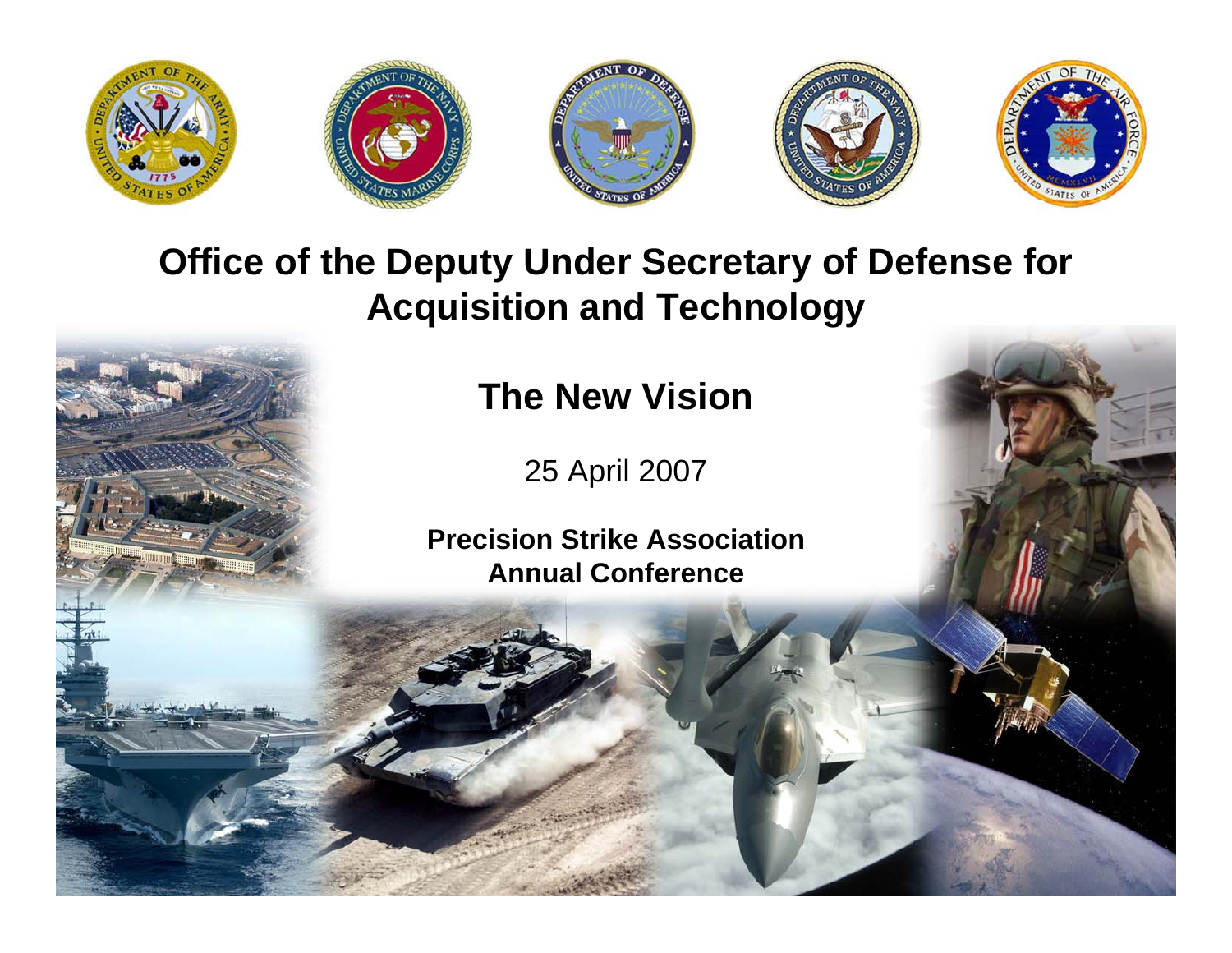

### **Office of the Deputy Under Secretary of Defense for Acquisition and Technology**

**The New Vision**

25 April 2007

**Precision Strike Association Annual Conference**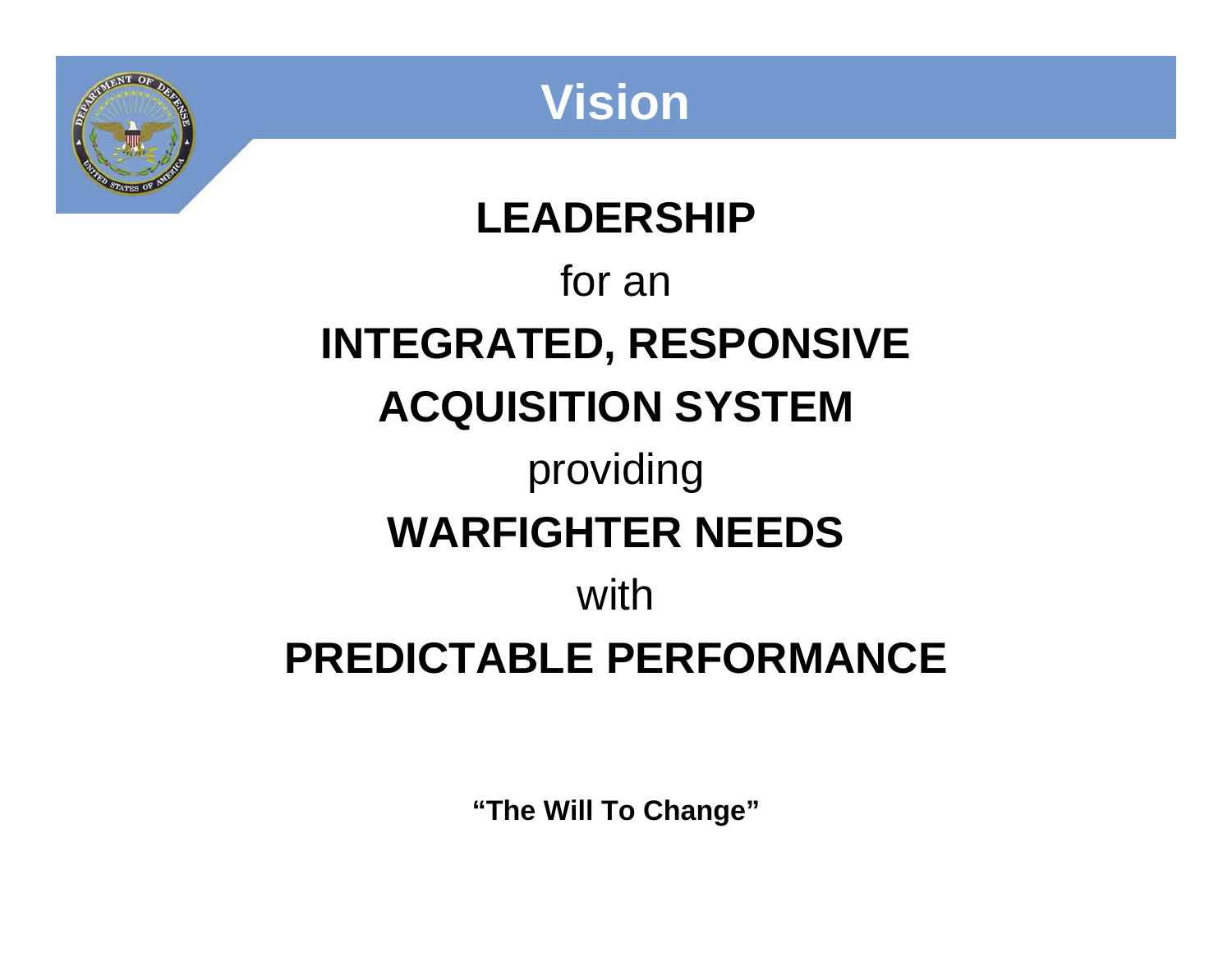

**Vision**

# **LEADERSHIP**for an **INTEGRATED, RESPONSIVE ACQUISITION SYSTEM** providing **WARFIGHTER NEEDS**with**PREDICTABLE PERFORMANCE**

**"The Will To Change"**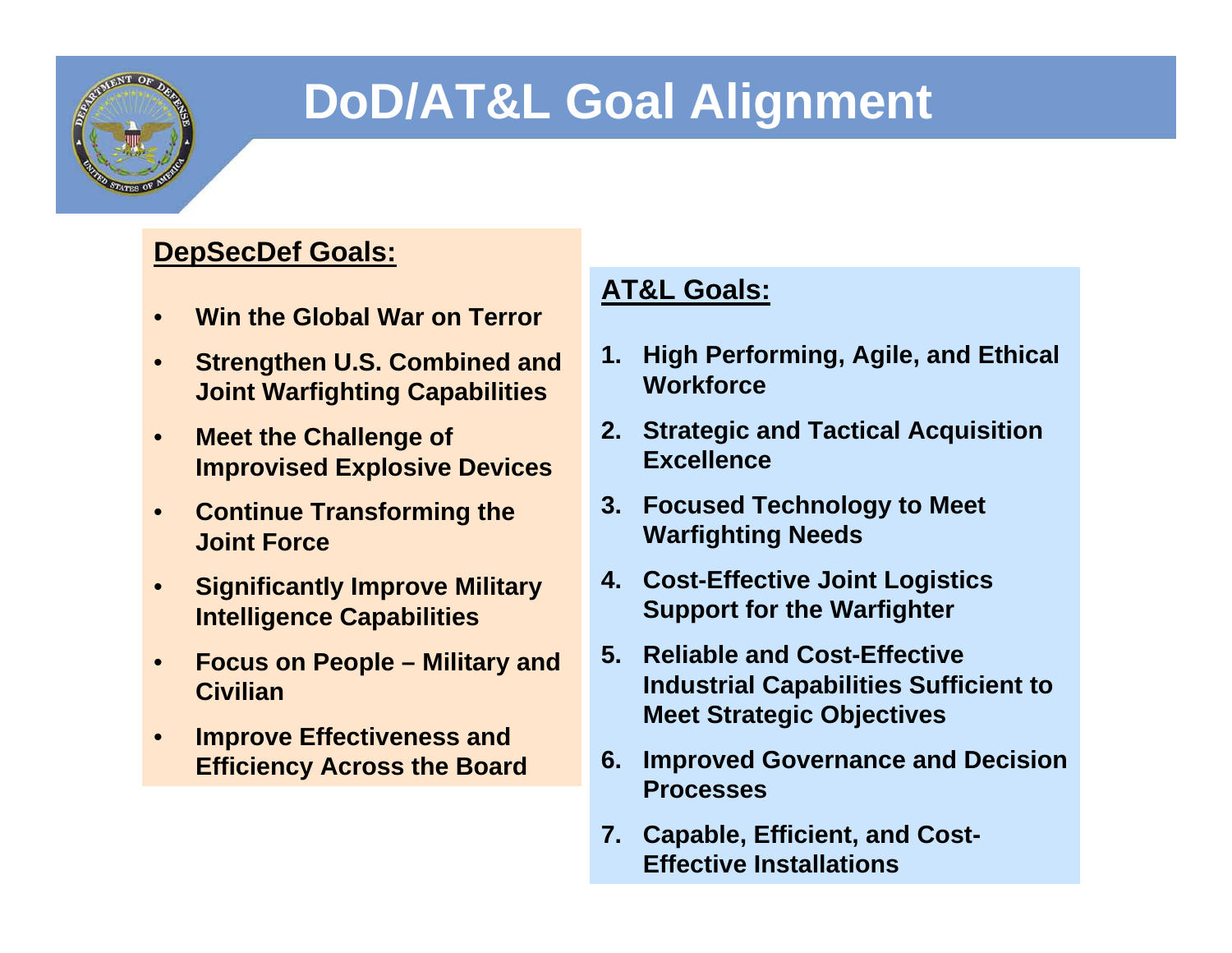

## **DoD/AT&L Goal Alignment**

#### **DepSecDef Goals:**

- **Win the Global War on Terror**
- **Strengthen U.S. Combined and Joint Warfighting Capabilities**
- **Meet the Challenge of Improvised Explosive Devices**
- **Continue Transforming the Joint Force**
- **Significantly Improve Military Intelligence Capabilities**
- **Focus on People Military and Civilian**
- **Improve Effectiveness and Efficiency Across the Board**

#### **AT&L Goals:**

- **1. High Performing, Agile, and Ethical Workforce**
- **2. Strategic and Tactical Acquisition Excellence**
- **3. Focused Technology to Meet Warfighting Needs**
- **4. Cost-Effective Joint Logistics Support for the Warfighter**
- **5. Reliable and Cost-Effective Industrial Capabilities Sufficient to Meet Strategic Objectives**
- **6. Improved Governance and Decision Processes**
- **7. Capable, Efficient, and Cost-Effective Installations**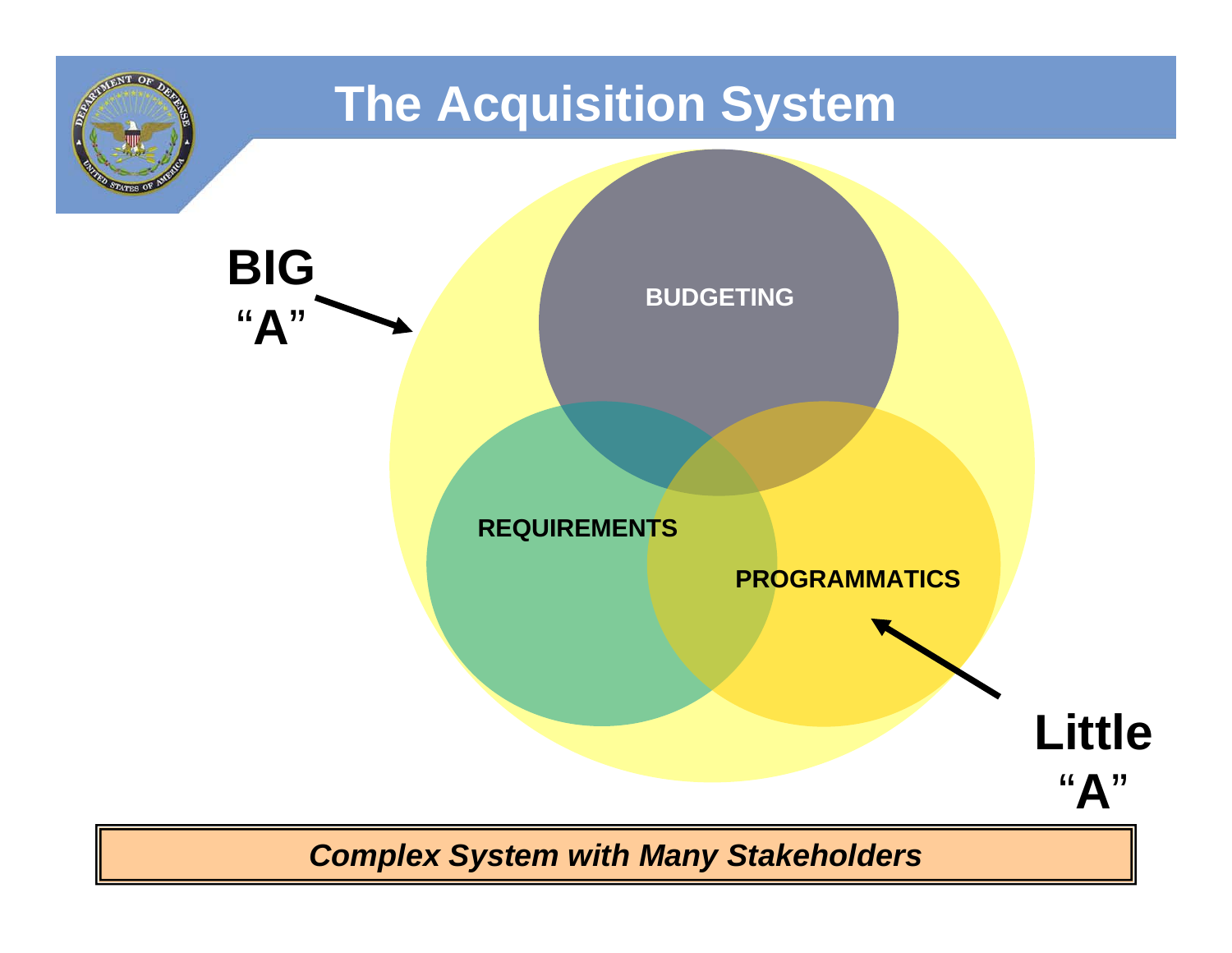

*Complex System with Many Stakeholders*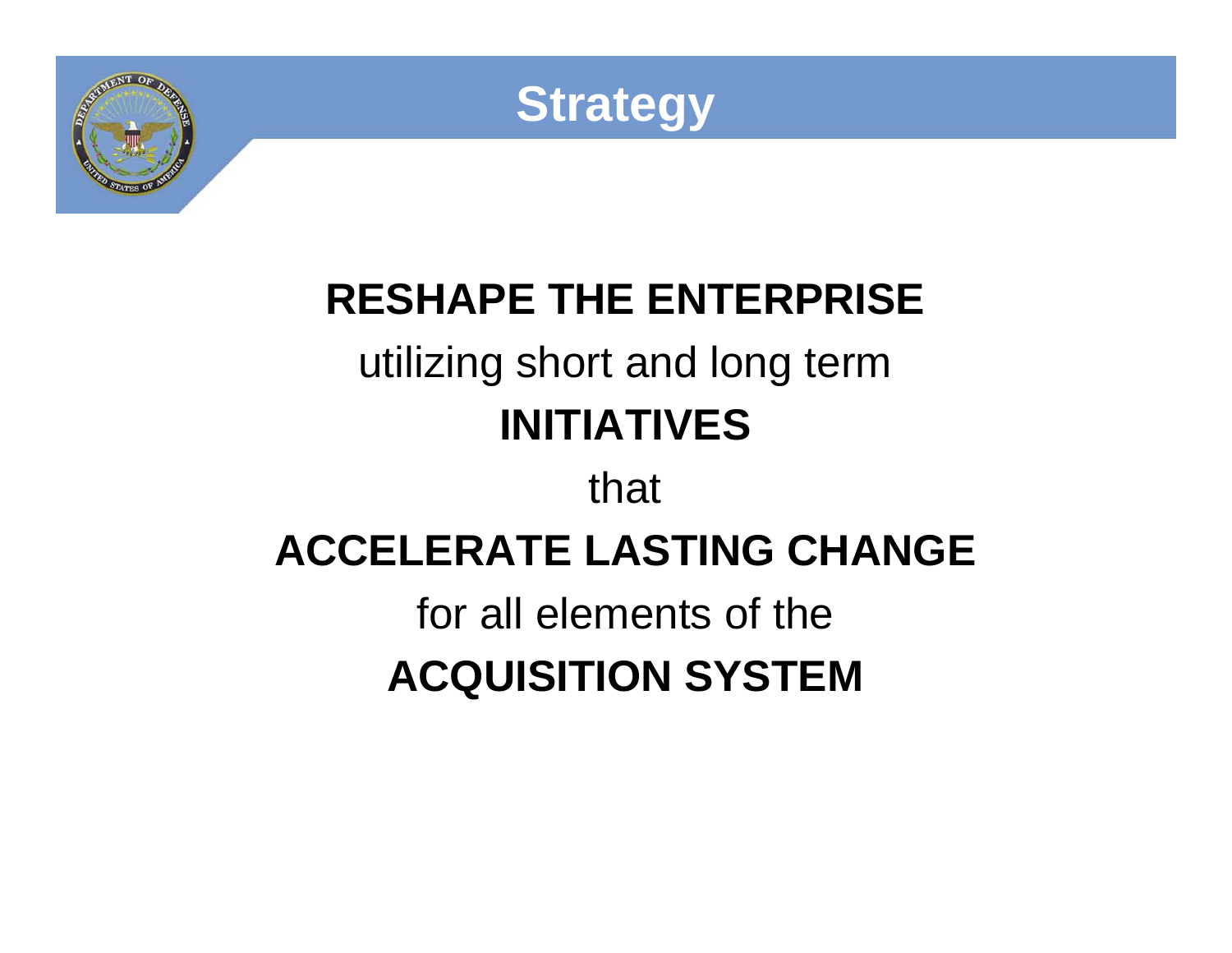



### **RESHAPE THE ENTERPRISE**  utilizing short and long term **INITIATIVES**

# that **ACCELERATE LASTING CHANGE**for all elements of the**ACQUISITION SYSTEM**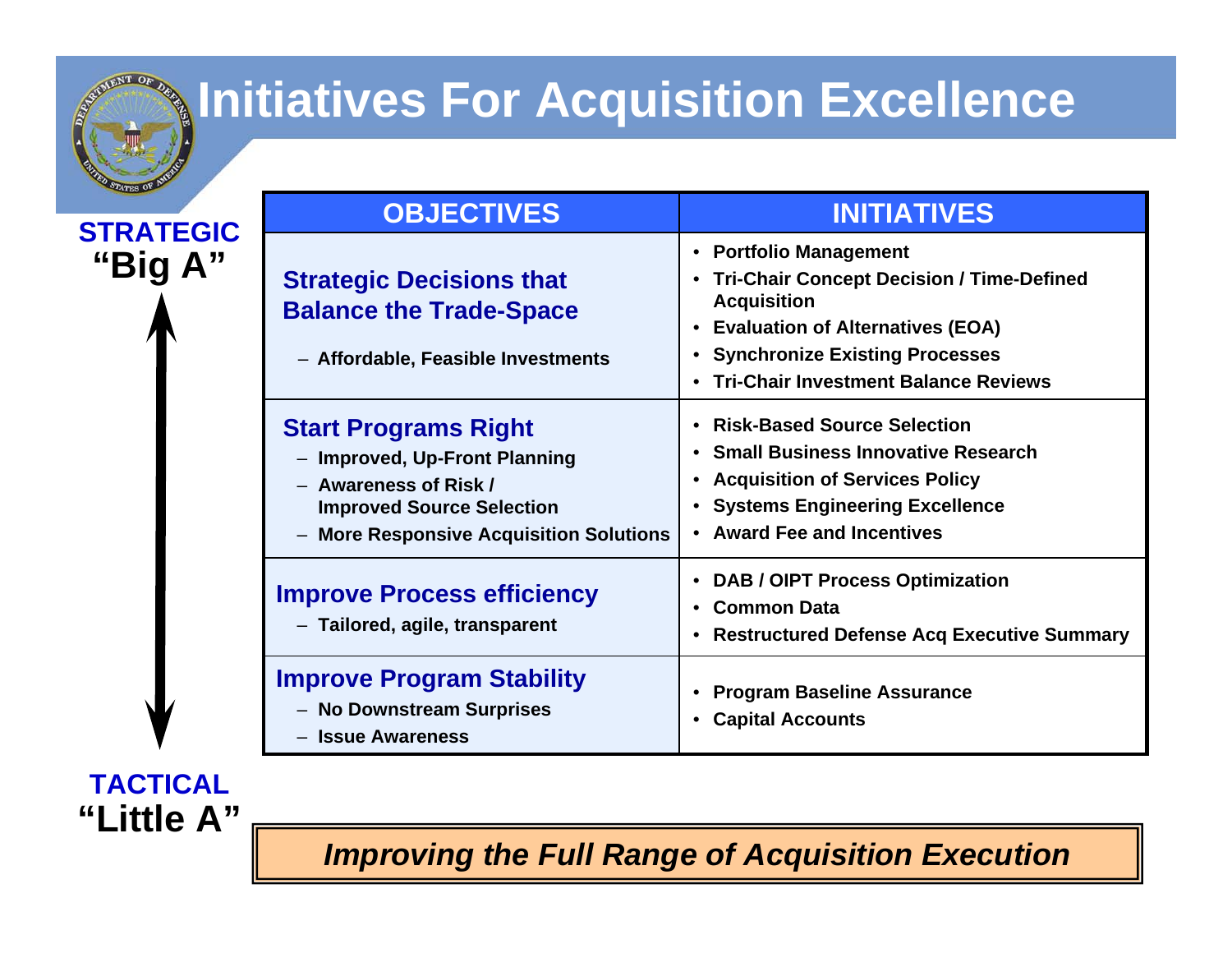

**"Little A"**

**TACTICAL**

## **Multiatives For Acquisition Excellence**

| <b>STATES OF</b>            | <b>OBJECTIVES</b>                                                                                                                                                         | <b>INITIATIVES</b>                                                                                                                                                                                              |
|-----------------------------|---------------------------------------------------------------------------------------------------------------------------------------------------------------------------|-----------------------------------------------------------------------------------------------------------------------------------------------------------------------------------------------------------------|
| <b>STRATEGIC</b><br>"Big A" | <b>Strategic Decisions that</b><br><b>Balance the Trade-Space</b><br>- Affordable, Feasible Investments                                                                   | • Portfolio Management<br>• Tri-Chair Concept Decision / Time-Defined<br><b>Acquisition</b><br>• Evaluation of Alternatives (EOA)<br>• Synchronize Existing Processes<br>• Tri-Chair Investment Balance Reviews |
|                             | <b>Start Programs Right</b><br>- Improved, Up-Front Planning<br>- Awareness of Risk /<br><b>Improved Source Selection</b><br><b>More Responsive Acquisition Solutions</b> | • Risk-Based Source Selection<br>• Small Business Innovative Research<br>• Acquisition of Services Policy<br>• Systems Engineering Excellence<br>• Award Fee and Incentives                                     |
|                             | <b>Improve Process efficiency</b><br>- Tailored, agile, transparent                                                                                                       | • DAB / OIPT Process Optimization<br>• Common Data<br>• Restructured Defense Acq Executive Summary                                                                                                              |
|                             | <b>Improve Program Stability</b><br>- No Downstream Surprises<br>- Issue Awareness                                                                                        | • Program Baseline Assurance<br><b>Capital Accounts</b>                                                                                                                                                         |

*Improving the Full Range of Acquisition Execution*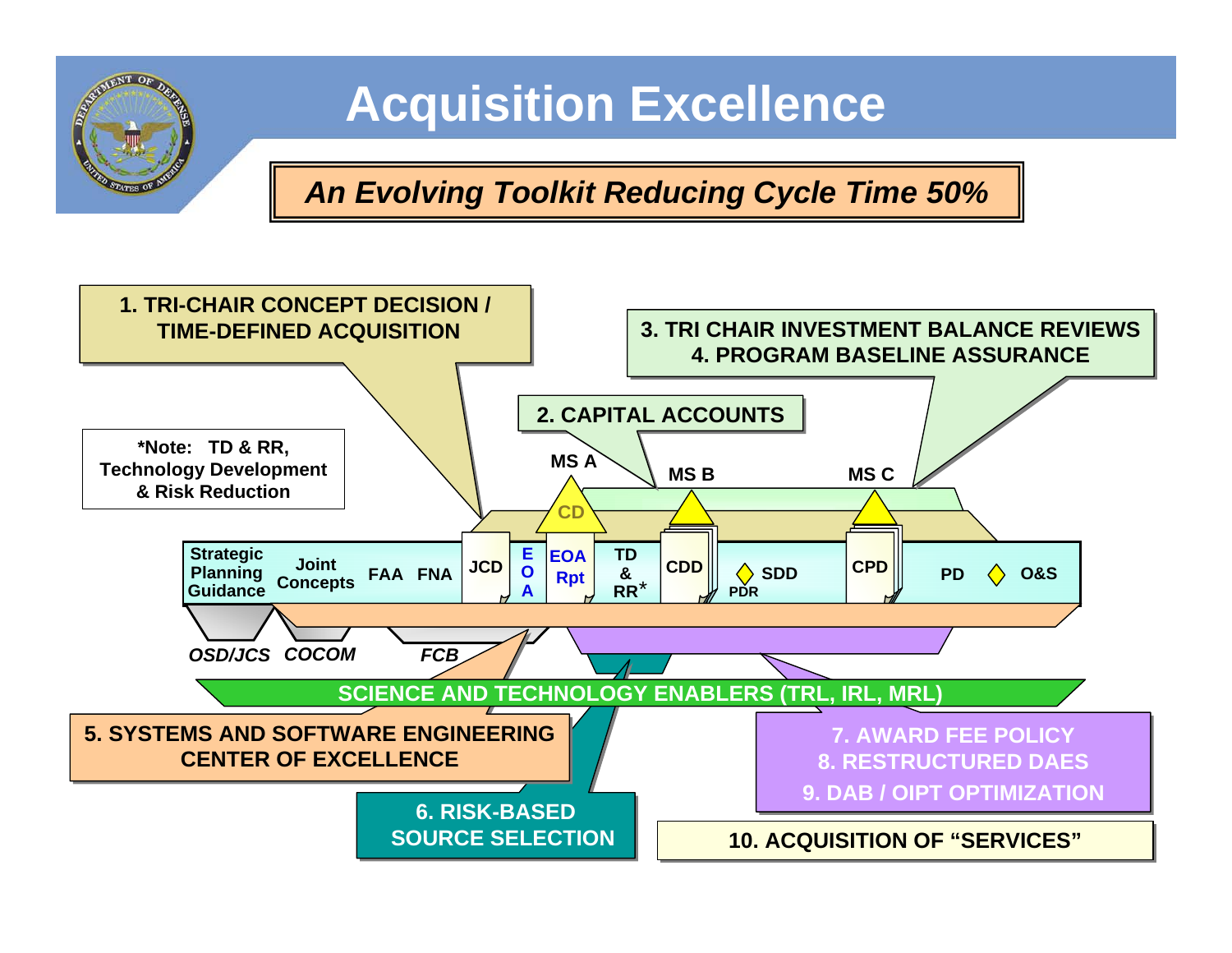

## **Acquisition Excellence**

*An Evolving Toolkit Reducing Cycle Time 50%*

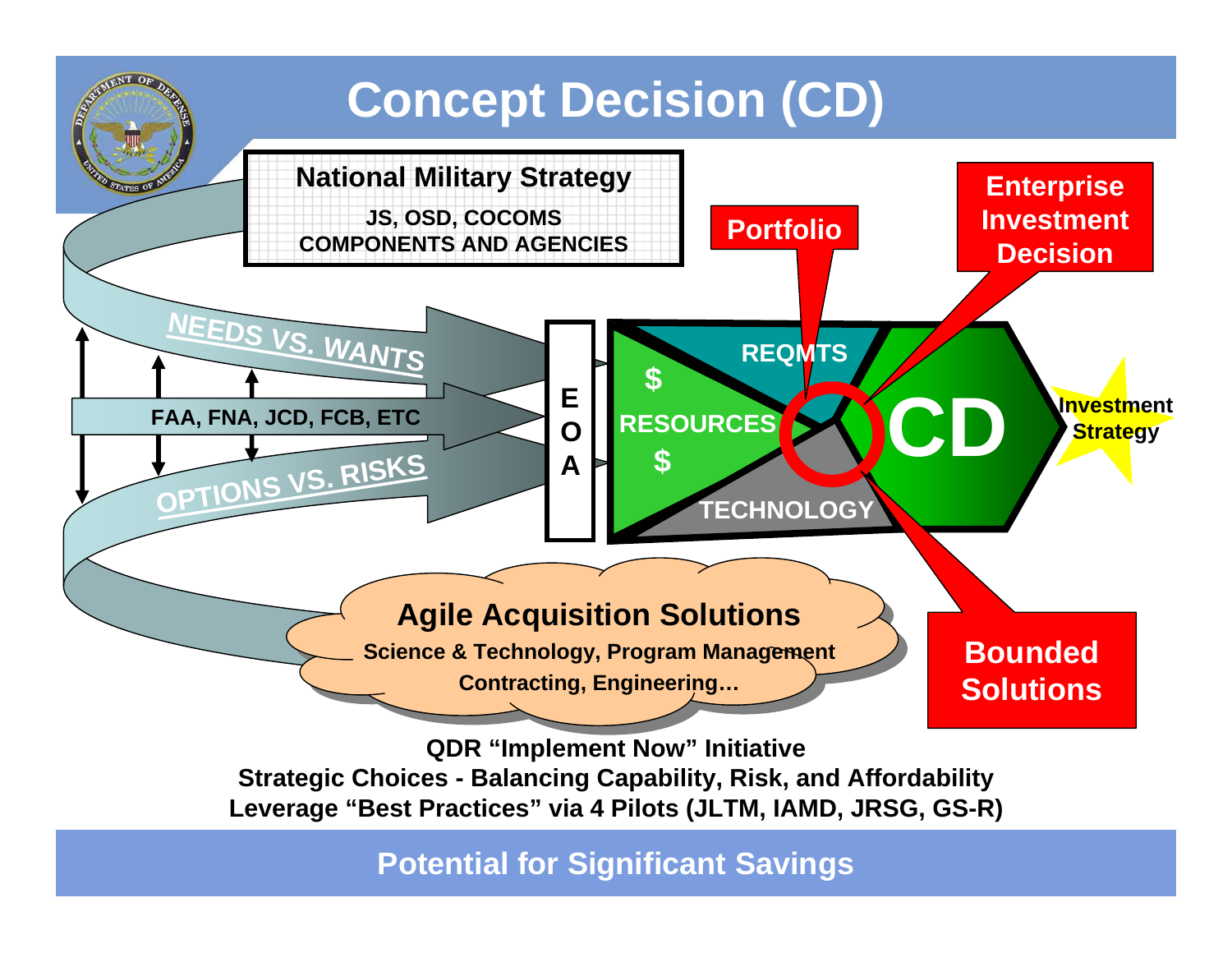

**Potential for Significant Savings**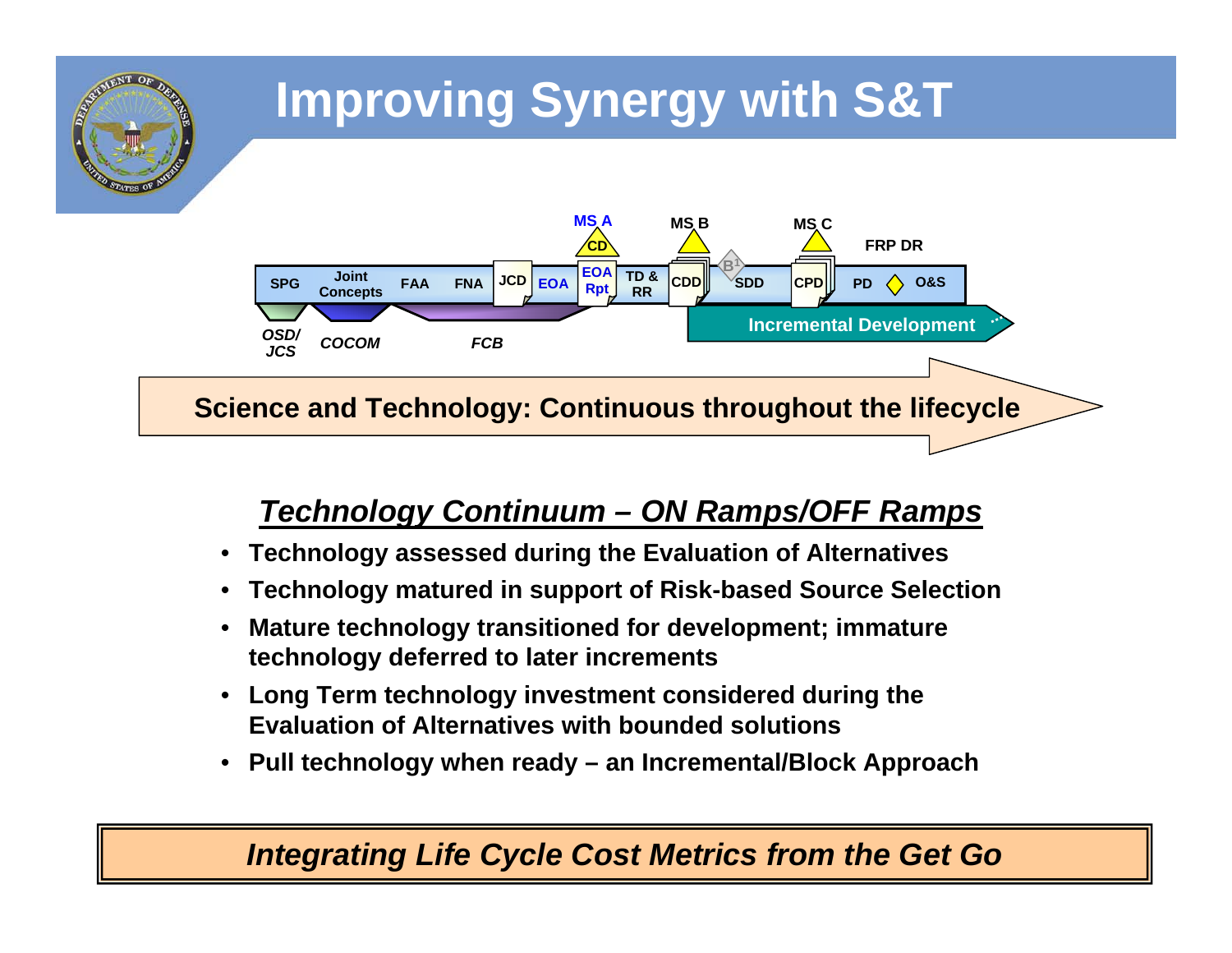

#### *Technology Continuum – ON Ramps/OFF Ramps*

- **Technology assessed during the Evaluation of Alternatives**
- **Technology matured in support of Risk-based Source Selection**
- **Mature technology transitioned for development; immature technology deferred to later increments**
- **Long Term technology investment considered during the Evaluation of Alternatives with bounded solutions**
- **Pull technology when ready an Incremental/Block Approach**

#### *Integrating Life Cycle Cost Metrics from the Get Go*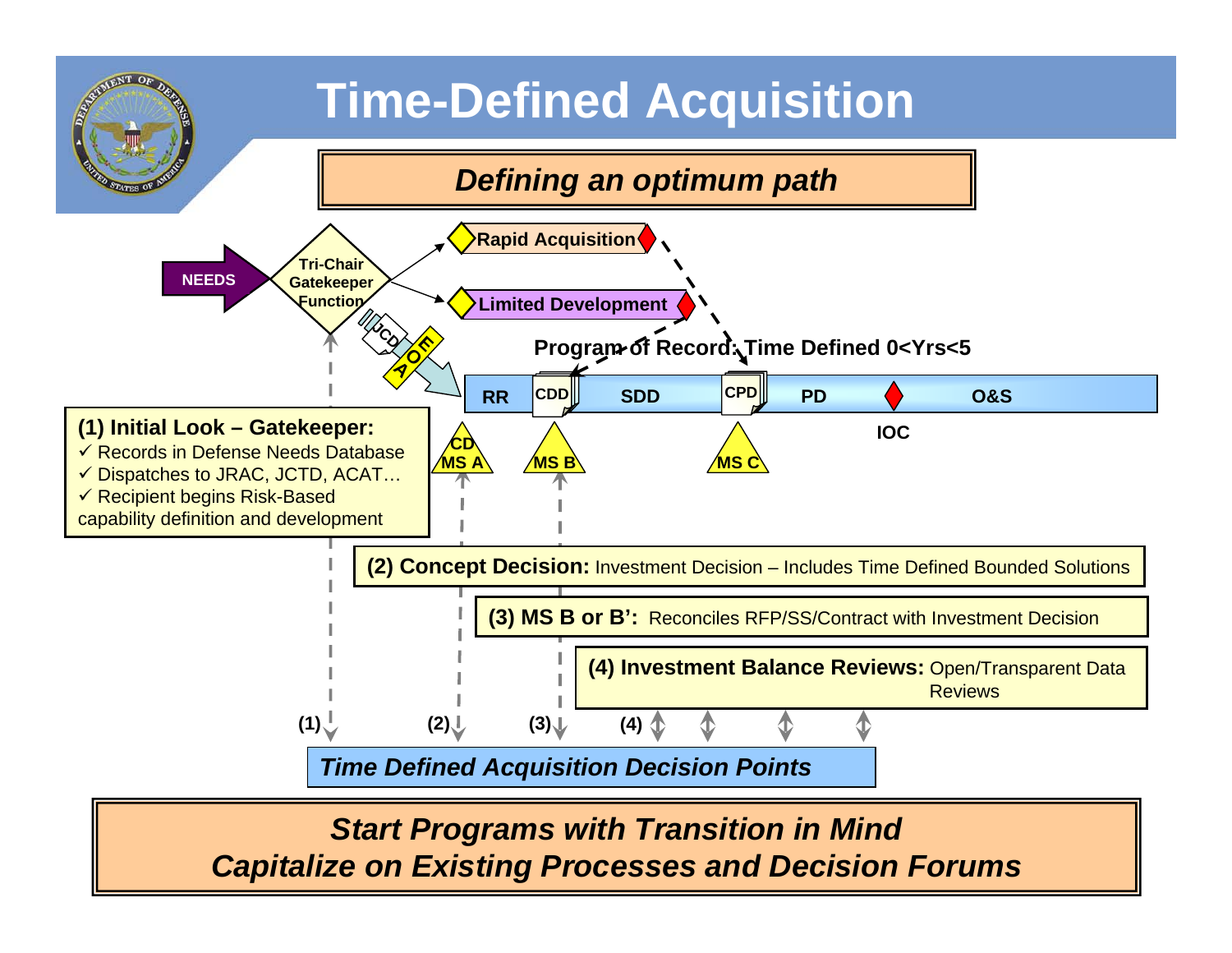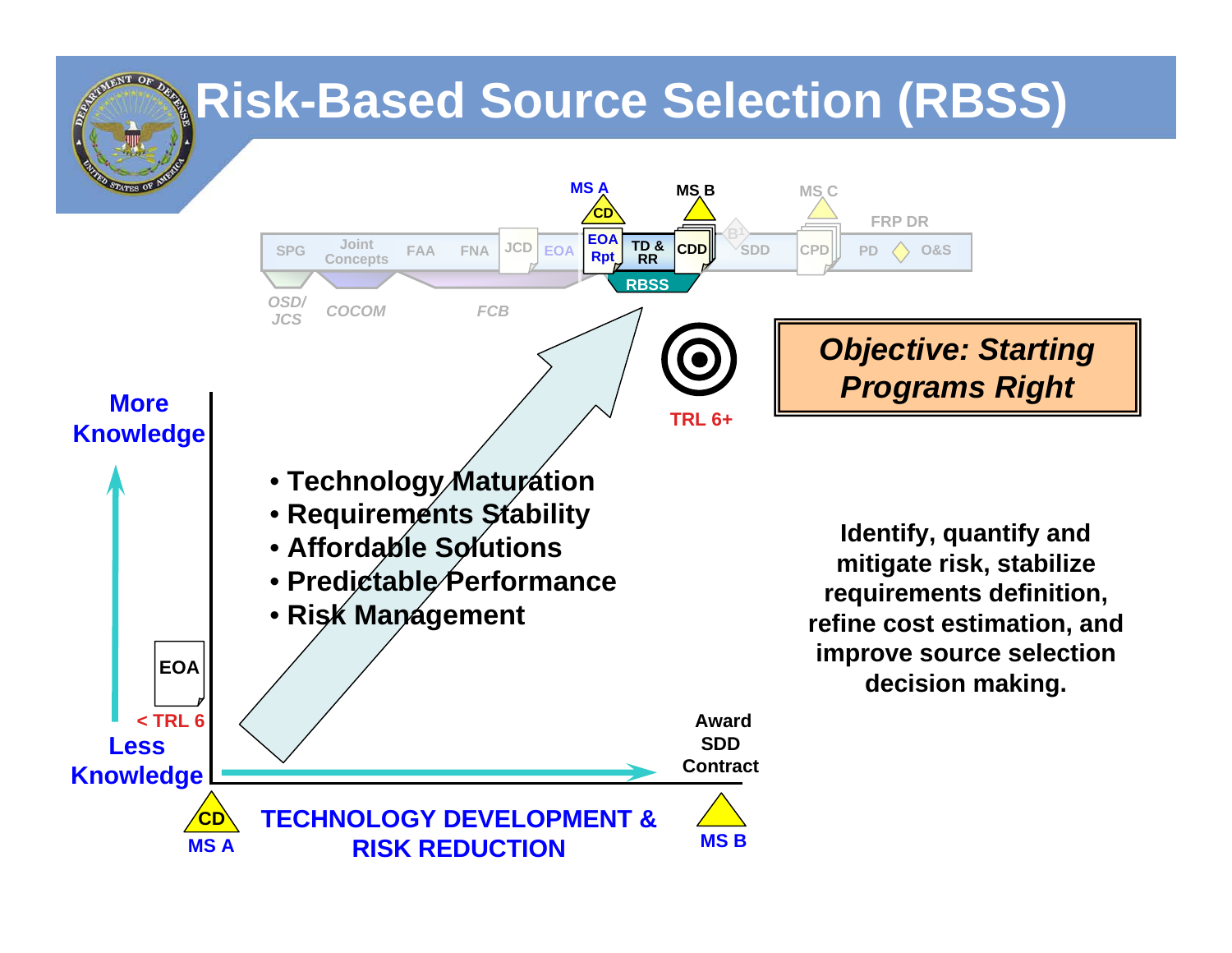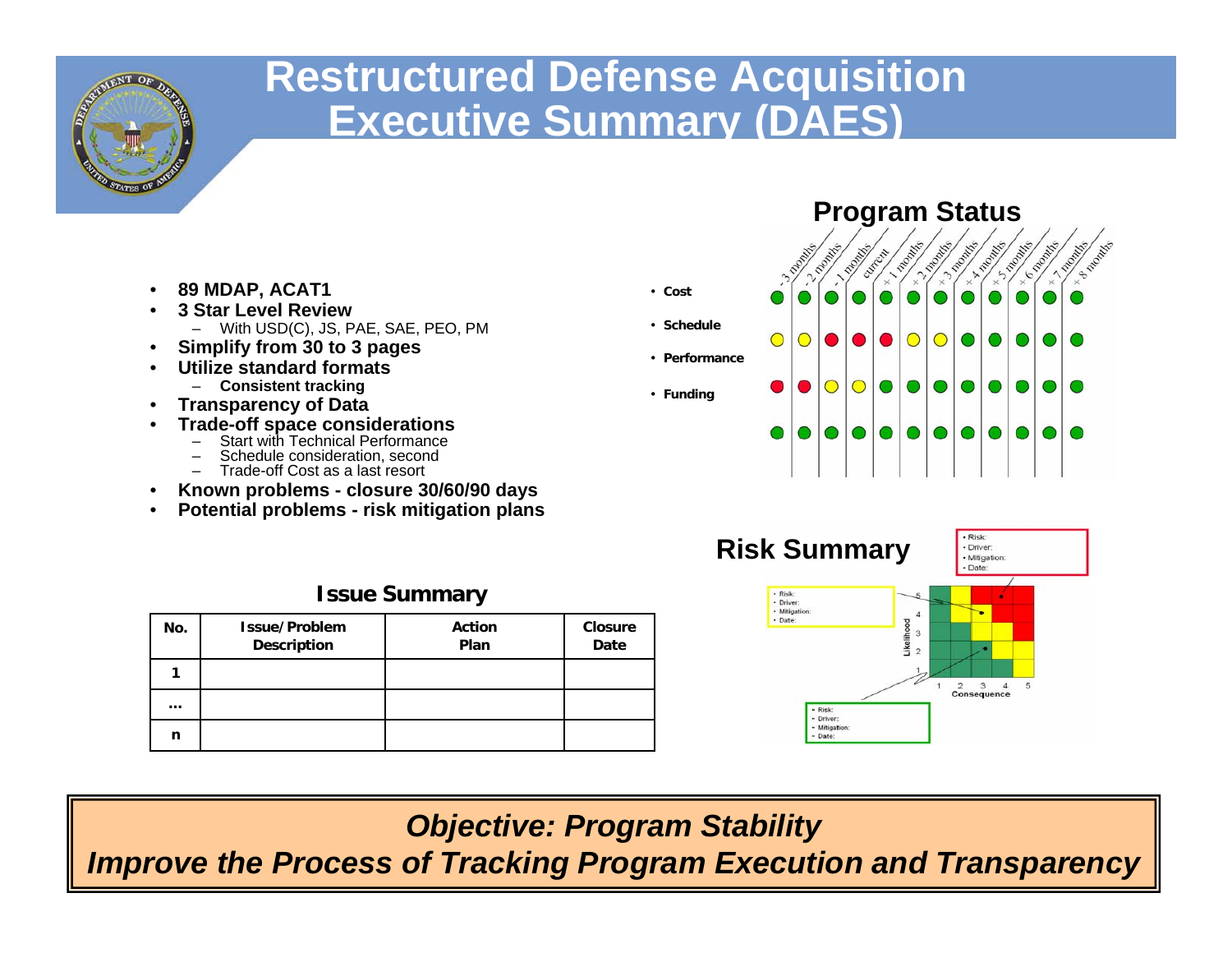

### **Restructured Defense Acquisition Executive Summary (DAES)**

- **89 MDAP, ACAT1**
- **3 Star Level Review**– With USD(C), JS, PAE, SAE, PEO, PM
- **Simplify from 30 to 3 pages**
- **Utilize standard formats**
	- **Consistent tracking**
- **Transparency of Data**
- **Trade-off space considerations**
	- Start with Technical Performance
	- Schedule consideration, second
	- Trade-off Cost as a last resort
- **Known problems closure 30/60/90 days**
- **Potential problems risk mitigation plans**

| <b>Issue Summary</b> |                                     |                       |                        |  |
|----------------------|-------------------------------------|-----------------------|------------------------|--|
| No.                  | Issue/Problem<br><b>Description</b> | <b>Action</b><br>Plan | <b>Closure</b><br>Date |  |
|                      |                                     |                       |                        |  |
| $\cdots$             |                                     |                       |                        |  |
| n                    |                                     |                       |                        |  |





*Objective: Program Stability*

*Improve the Process of Tracking Program Execution and Transparency*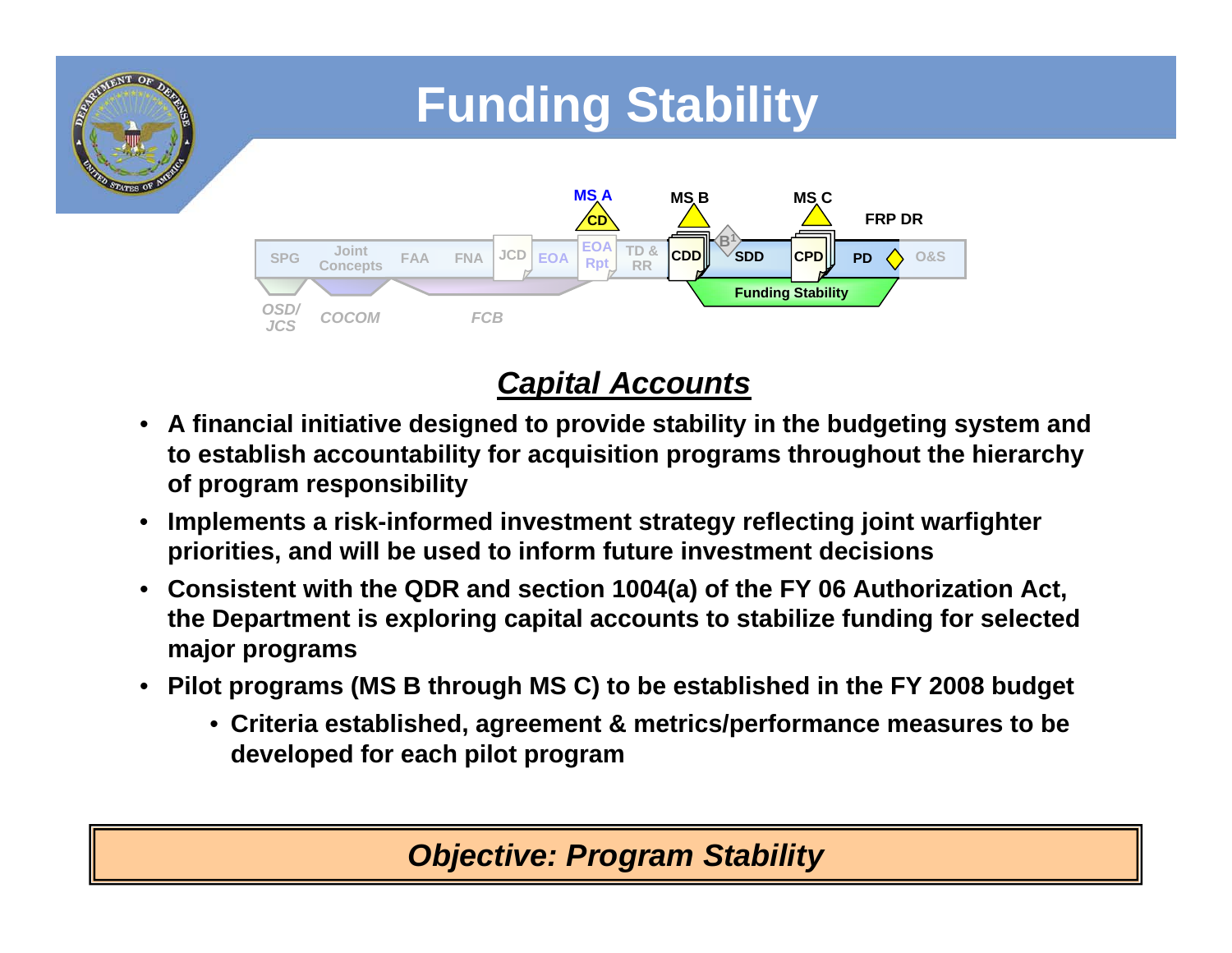

#### *Capital Accounts*

- **A financial initiative designed to provide stability in the budgeting system and to establish accountability for acquisition programs throughout the hierarchy of program responsibility**
- **Implements a risk-informed investment strategy reflecting joint warfighter priorities, and will be used to inform future investment decisions**
- **Consistent with the QDR and section 1004(a) of the FY 06 Authorization Act, the Department is exploring capital accounts to stabilize funding for selected major programs**
- **Pilot programs (MS B through MS C) to be established in the FY 2008 budget**
	- **Criteria established, agreement & metrics/performance measures to be developed for each pilot program**

#### *Objective: Program Stability*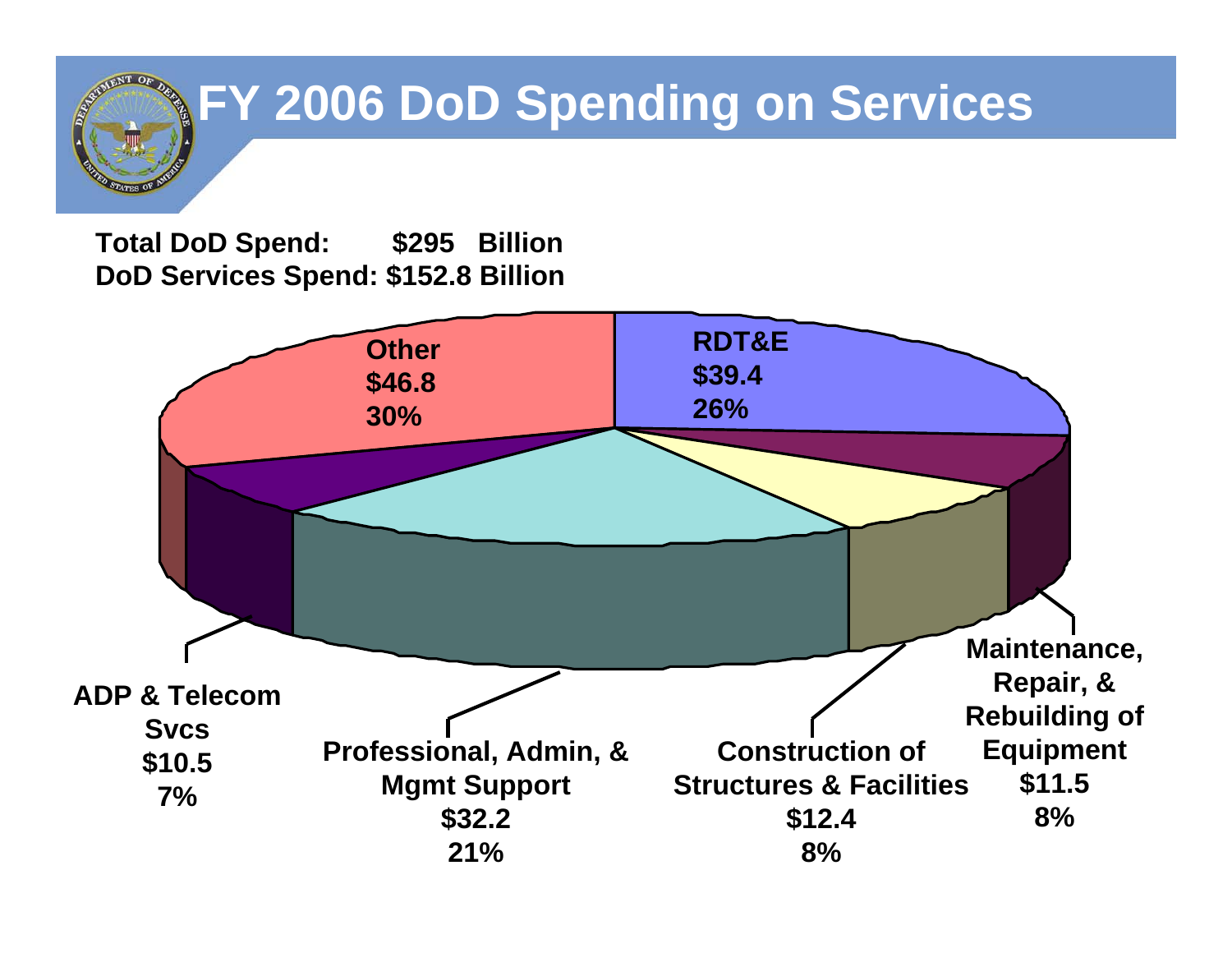# **FY 2006 DoD Spending on Services**

**Total DoD Spend: \$295 Billion DoD Services Spend: \$152.8 Billion**

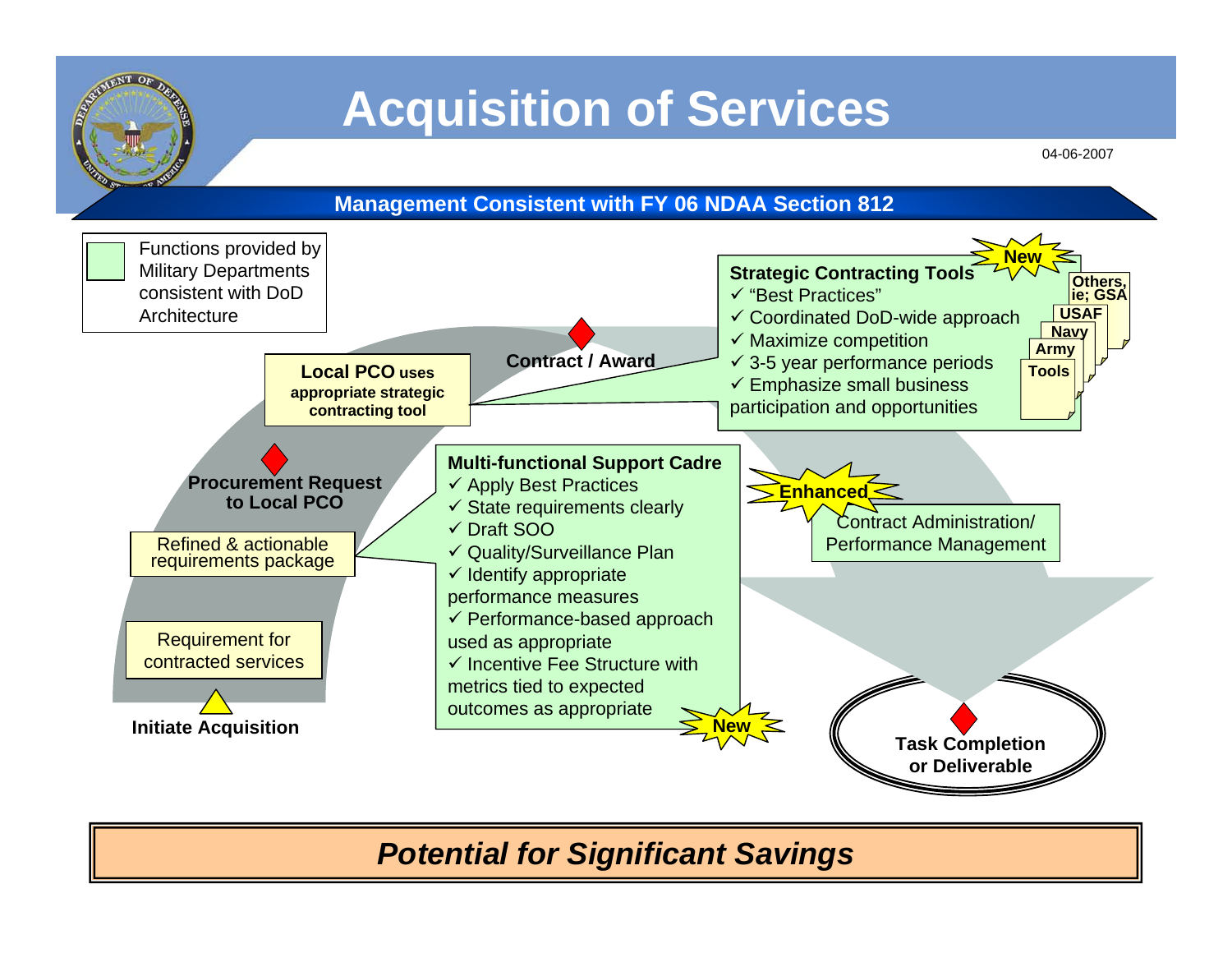

## **Acquisition of Services**

04-06-2007



#### *Potential for Significant Savings*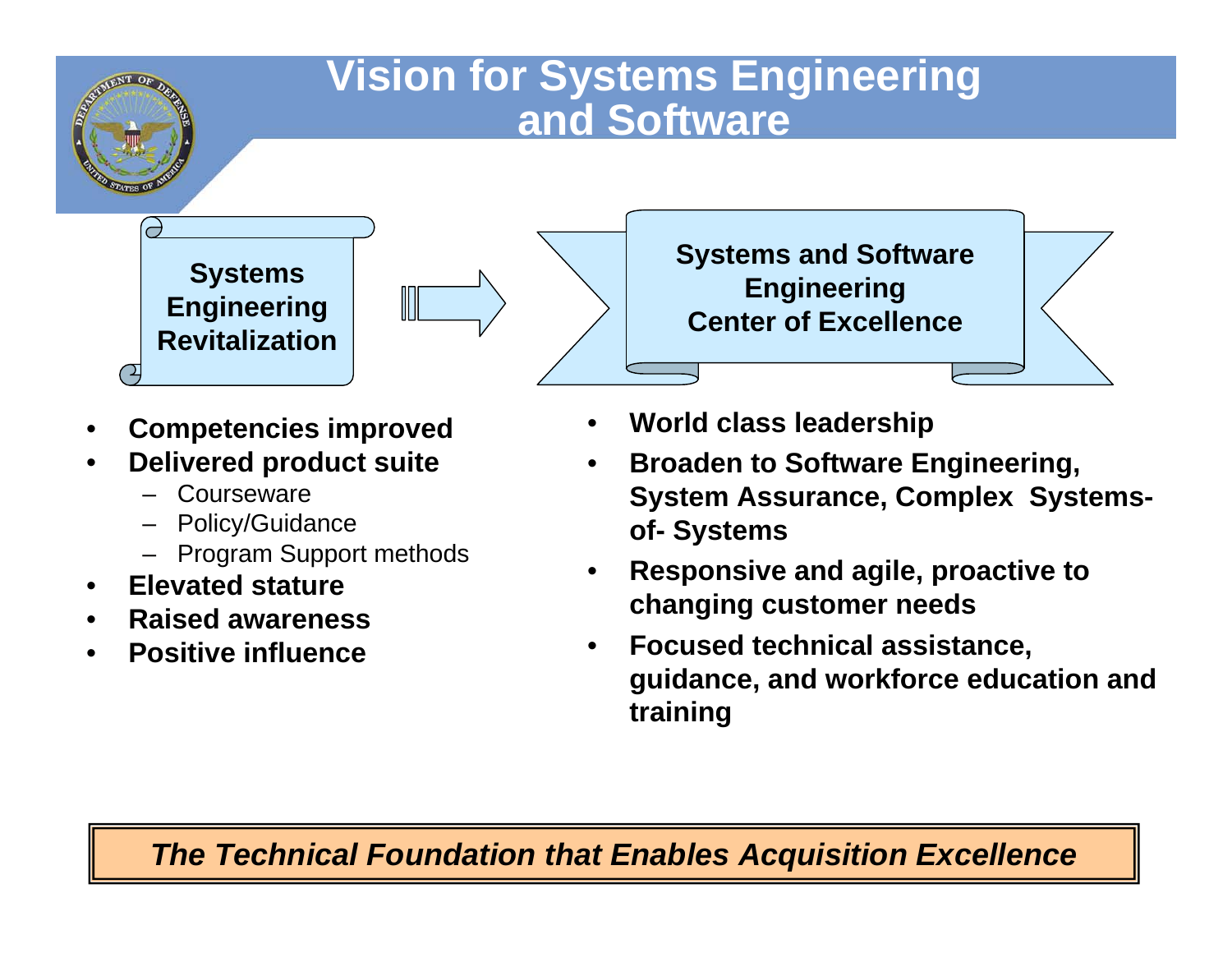### **Vision for Systems Engineering and Software**

**Systems Engineering Revitalization**

 $\overline{\phantom{a}}$ 



- **Competencies improved**
- **Delivered product suite**
	- **Courseware**
	- Policy/Guidance
	- Program Support methods
- **Elevated stature**
- **Raised awareness**
- **Positive influence**

**Systems and Software Engineering Center of Excellence**

- **World class leadership**
- **Broaden to Software Engineering, System Assurance, Complex Systemsof- Systems**
- **Responsive and agile, proactive to changing customer needs**
- **Focused technical assistance, guidance, and workforce education and training**

#### *The Technical Foundation that Enables Acquisition Excellence*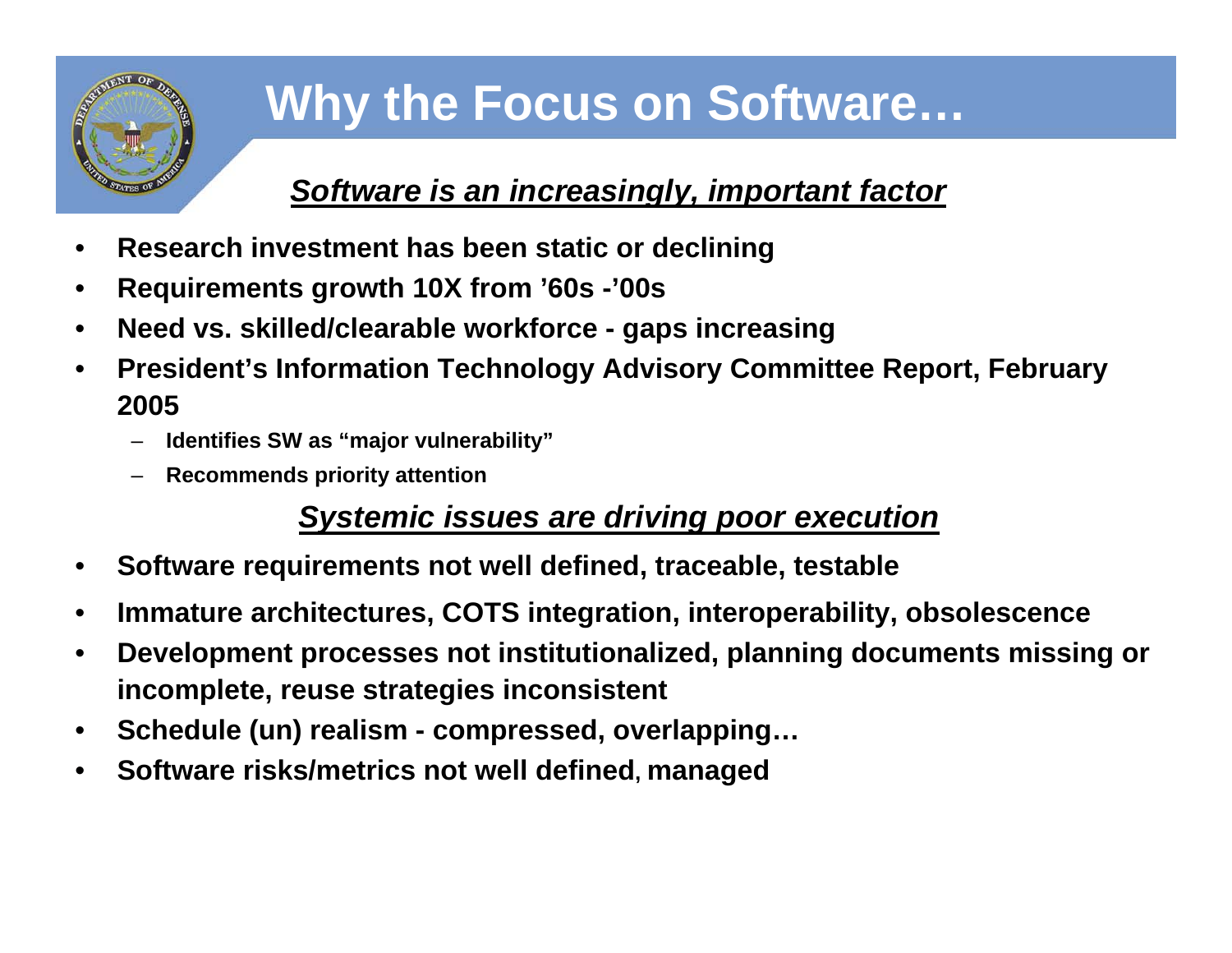

# **Why the Focus on Software…**

#### *Software is an increasingly, important factor*

- **Research investment has been static or declining**
- **Requirements growth 10X from '60s -'00s**
- **Need vs. skilled/clearable workforce gaps increasing**
- **President's Information Technology Advisory Committee Report, February 2005**
	- **Identifies SW as "major vulnerability"**
	- **Recommends priority attention**

#### *Systemic issues are driving poor execution*

- **Software requirements not well defined, traceable, testable**
- **Immature architectures, COTS integration, interoperability, obsolescence**
- **Development processes not institutionalized, planning documents missing or incomplete, reuse strategies inconsistent**
- **Schedule (un) realism compressed, overlapping…**
- **Software risks/metrics not well defined, managed**